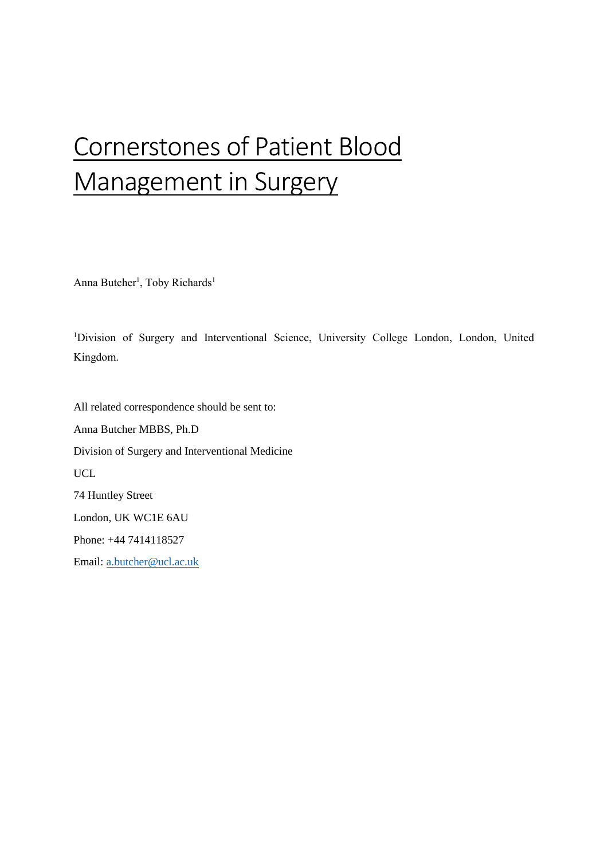# Cornerstones of Patient Blood Management in Surgery

Anna Butcher<sup>1</sup>, Toby Richards<sup>1</sup>

<sup>1</sup>Division of Surgery and Interventional Science, University College London, London, United Kingdom.

All related correspondence should be sent to: Anna Butcher MBBS, Ph.D Division of Surgery and Interventional Medicine UCL 74 Huntley Street London, UK WC1E 6AU Phone: +44 7414118527

Email: [a.butcher@ucl.ac.uk](mailto:a.butcher@ucl.ac.uk)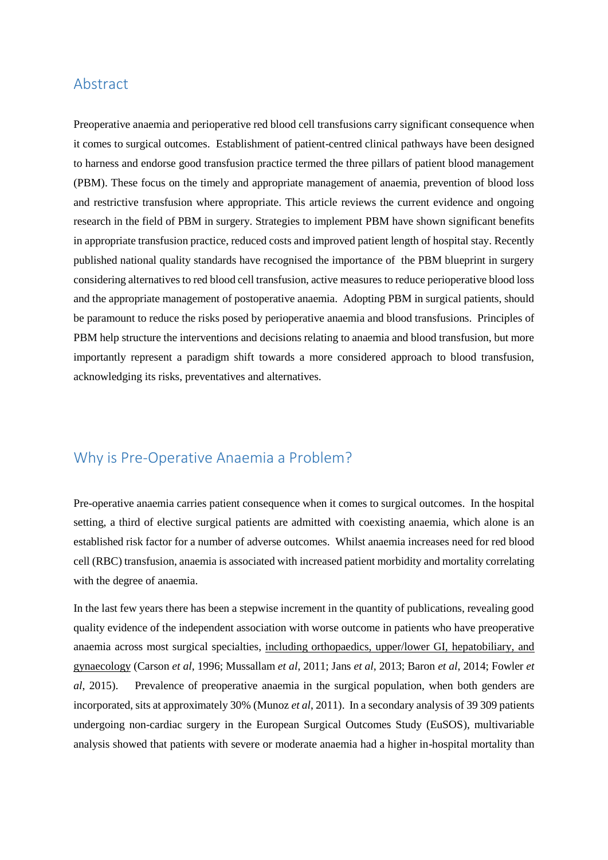### Abstract

Preoperative anaemia and perioperative red blood cell transfusions carry significant consequence when it comes to surgical outcomes. Establishment of patient-centred clinical pathways have been designed to harness and endorse good transfusion practice termed the three pillars of patient blood management (PBM). These focus on the timely and appropriate management of anaemia, prevention of blood loss and restrictive transfusion where appropriate. This article reviews the current evidence and ongoing research in the field of PBM in surgery. Strategies to implement PBM have shown significant benefits in appropriate transfusion practice, reduced costs and improved patient length of hospital stay. Recently published national quality standards have recognised the importance of the PBM blueprint in surgery considering alternatives to red blood cell transfusion, active measures to reduce perioperative blood loss and the appropriate management of postoperative anaemia. Adopting PBM in surgical patients, should be paramount to reduce the risks posed by perioperative anaemia and blood transfusions. Principles of PBM help structure the interventions and decisions relating to anaemia and blood transfusion, but more importantly represent a paradigm shift towards a more considered approach to blood transfusion, acknowledging its risks, preventatives and alternatives.

# Why is Pre-Operative Anaemia a Problem?

Pre-operative anaemia carries patient consequence when it comes to surgical outcomes. In the hospital setting, a third of elective surgical patients are admitted with coexisting anaemia, which alone is an established risk factor for a number of adverse outcomes. Whilst anaemia increases need for red blood cell (RBC) transfusion, anaemia is associated with increased patient morbidity and mortality correlating with the degree of anaemia.

In the last few years there has been a stepwise increment in the quantity of publications, revealing good quality evidence of the independent association with worse outcome in patients who have preoperative anaemia across most surgical specialties, including orthopaedics, upper/lower GI, hepatobiliary, and gynaecology (Carson *et al*, 1996; Mussallam *et al*, 2011; Jans *et al*, 2013; Baron *et al*, 2014; Fowler *et al*, 2015). Prevalence of preoperative anaemia in the surgical population, when both genders are incorporated, sits at approximately 30% (Munoz *et al*, 2011). In a secondary analysis of 39 309 patients undergoing non-cardiac surgery in the European Surgical Outcomes Study (EuSOS), multivariable analysis showed that patients with severe or moderate anaemia had a higher in-hospital mortality than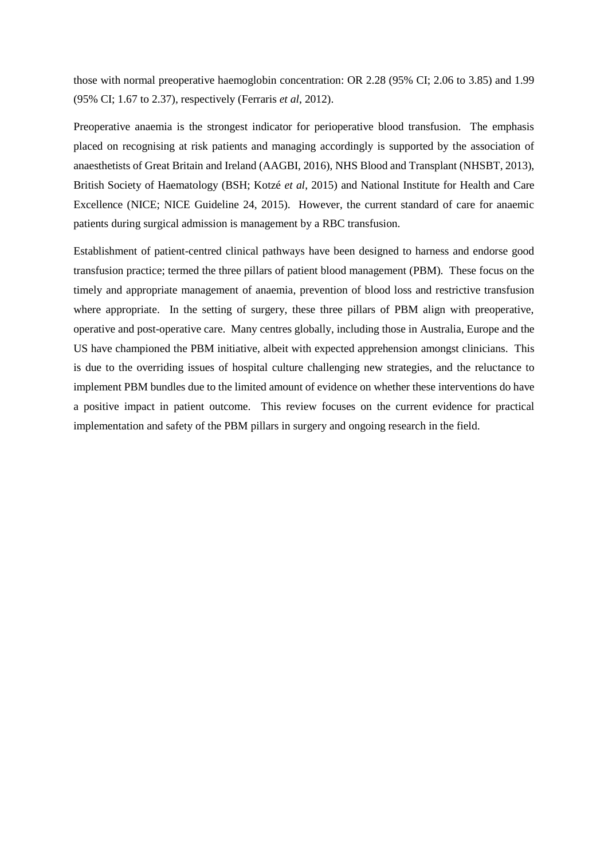those with normal preoperative haemoglobin concentration: OR 2.28 (95% CI; 2.06 to 3.85) and 1.99 (95% CI; 1.67 to 2.37), respectively (Ferraris *et al*, 2012).

Preoperative anaemia is the strongest indicator for perioperative blood transfusion. The emphasis placed on recognising at risk patients and managing accordingly is supported by the association of anaesthetists of Great Britain and Ireland (AAGBI, 2016), NHS Blood and Transplant (NHSBT, 2013), British Society of Haematology (BSH; Kotzé *et al*, 2015) and National Institute for Health and Care Excellence (NICE; NICE Guideline 24, 2015). However, the current standard of care for anaemic patients during surgical admission is management by a RBC transfusion.

Establishment of patient-centred clinical pathways have been designed to harness and endorse good transfusion practice; termed the three pillars of patient blood management (PBM). These focus on the timely and appropriate management of anaemia, prevention of blood loss and restrictive transfusion where appropriate. In the setting of surgery, these three pillars of PBM align with preoperative, operative and post-operative care. Many centres globally, including those in Australia, Europe and the US have championed the PBM initiative, albeit with expected apprehension amongst clinicians. This is due to the overriding issues of hospital culture challenging new strategies, and the reluctance to implement PBM bundles due to the limited amount of evidence on whether these interventions do have a positive impact in patient outcome. This review focuses on the current evidence for practical implementation and safety of the PBM pillars in surgery and ongoing research in the field.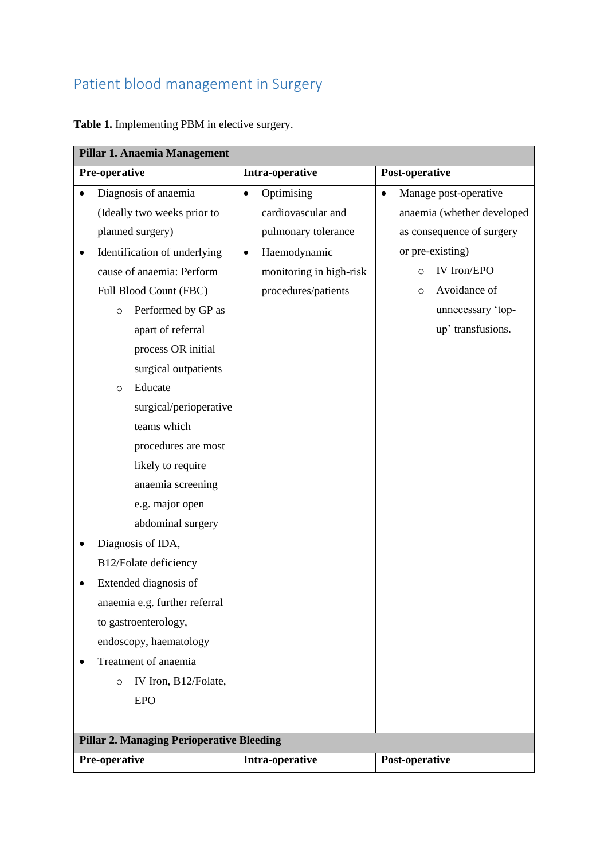# Patient blood management in Surgery

**Table 1.** Implementing PBM in elective surgery.

| Pillar 1. Anaemia Management                     |                           |                                    |  |
|--------------------------------------------------|---------------------------|------------------------------------|--|
| Pre-operative                                    | Intra-operative           | Post-operative                     |  |
| Diagnosis of anaemia                             | Optimising<br>$\bullet$   | Manage post-operative<br>$\bullet$ |  |
| (Ideally two weeks prior to                      | cardiovascular and        | anaemia (whether developed         |  |
| planned surgery)                                 | pulmonary tolerance       | as consequence of surgery          |  |
| Identification of underlying<br>$\bullet$        | Haemodynamic<br>$\bullet$ | or pre-existing)                   |  |
| cause of anaemia: Perform                        | monitoring in high-risk   | IV Iron/EPO<br>$\circ$             |  |
| Full Blood Count (FBC)                           | procedures/patients       | Avoidance of<br>$\circ$            |  |
| Performed by GP as<br>$\circ$                    |                           | unnecessary 'top-                  |  |
| apart of referral                                |                           | up' transfusions.                  |  |
| process OR initial                               |                           |                                    |  |
| surgical outpatients                             |                           |                                    |  |
| Educate<br>$\circ$                               |                           |                                    |  |
| surgical/perioperative                           |                           |                                    |  |
| teams which                                      |                           |                                    |  |
| procedures are most                              |                           |                                    |  |
| likely to require                                |                           |                                    |  |
| anaemia screening                                |                           |                                    |  |
| e.g. major open                                  |                           |                                    |  |
| abdominal surgery                                |                           |                                    |  |
| Diagnosis of IDA,                                |                           |                                    |  |
| B12/Folate deficiency                            |                           |                                    |  |
| Extended diagnosis of                            |                           |                                    |  |
| anaemia e.g. further referral                    |                           |                                    |  |
| to gastroenterology,                             |                           |                                    |  |
| endoscopy, haematology                           |                           |                                    |  |
| Treatment of anaemia                             |                           |                                    |  |
| IV Iron, B12/Folate,<br>$\circ$                  |                           |                                    |  |
| <b>EPO</b>                                       |                           |                                    |  |
|                                                  |                           |                                    |  |
| <b>Pillar 2. Managing Perioperative Bleeding</b> |                           |                                    |  |
| Pre-operative                                    | Intra-operative           | Post-operative                     |  |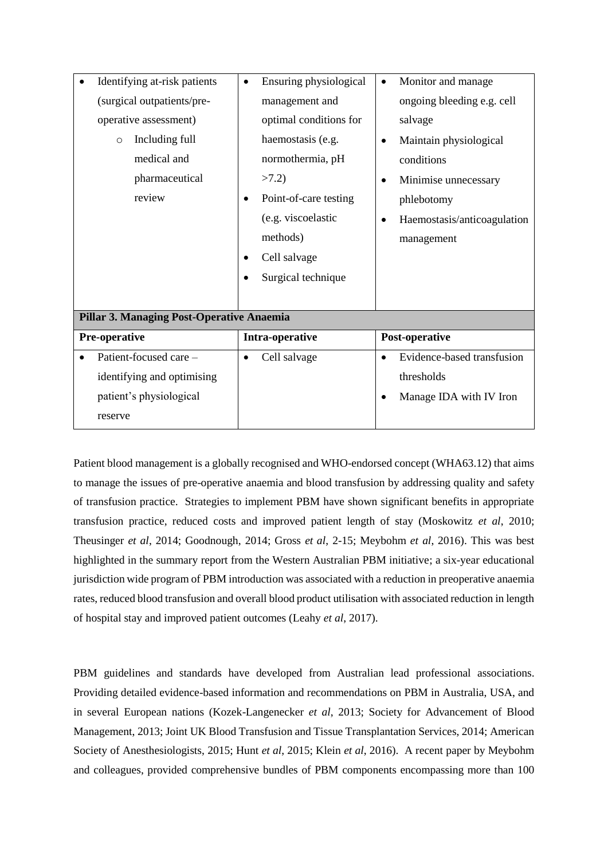| Identifying at-risk patients              | Ensuring physiological<br>$\bullet$ | Monitor and manage<br>٠                  |  |
|-------------------------------------------|-------------------------------------|------------------------------------------|--|
| (surgical outpatients/pre-                | management and                      | ongoing bleeding e.g. cell               |  |
| operative assessment)                     | optimal conditions for              | salvage                                  |  |
| Including full<br>$\circ$                 | haemostasis (e.g.                   | Maintain physiological<br>$\bullet$      |  |
| medical and                               | normothermia, pH                    | conditions                               |  |
| pharmaceutical                            | >7.2                                | Minimise unnecessary<br>$\bullet$        |  |
| review                                    | Point-of-care testing<br>$\bullet$  | phlebotomy                               |  |
|                                           | (e.g. viscoelastic                  | Haemostasis/anticoagulation<br>$\bullet$ |  |
|                                           | methods)                            | management                               |  |
|                                           | Cell salvage<br>$\bullet$           |                                          |  |
|                                           | Surgical technique                  |                                          |  |
|                                           |                                     |                                          |  |
| Pillar 3. Managing Post-Operative Anaemia |                                     |                                          |  |
| Pre-operative                             | Intra-operative                     | Post-operative                           |  |
| Patient-focused care -                    | Cell salvage<br>٠                   | Evidence-based transfusion<br>$\bullet$  |  |
| identifying and optimising                |                                     | thresholds                               |  |
| patient's physiological                   |                                     | Manage IDA with IV Iron<br>$\bullet$     |  |
| reserve                                   |                                     |                                          |  |

Patient blood management is a globally recognised and WHO-endorsed concept (WHA63.12) that aims to manage the issues of pre-operative anaemia and blood transfusion by addressing quality and safety of transfusion practice. Strategies to implement PBM have shown significant benefits in appropriate transfusion practice, reduced costs and improved patient length of stay (Moskowitz *et al*, 2010; Theusinger *et al*, 2014; Goodnough, 2014; Gross *et al*, 2-15; Meybohm *et al*, 2016). This was best highlighted in the summary report from the Western Australian PBM initiative; a six-year educational jurisdiction wide program of PBM introduction was associated with a reduction in preoperative anaemia rates, reduced blood transfusion and overall blood product utilisation with associated reduction in length of hospital stay and improved patient outcomes (Leahy *et al*, 2017).

PBM guidelines and standards have developed from Australian lead professional associations. Providing detailed evidence-based information and recommendations on PBM in Australia, USA, and in several European nations (Kozek-Langenecker *et al*, 2013; Society for Advancement of Blood Management, 2013; Joint UK Blood Transfusion and Tissue Transplantation Services, 2014; American Society of Anesthesiologists, 2015; Hunt *et al*, 2015; Klein *et al*, 2016). A recent paper by Meybohm and colleagues, provided comprehensive bundles of PBM components encompassing more than 100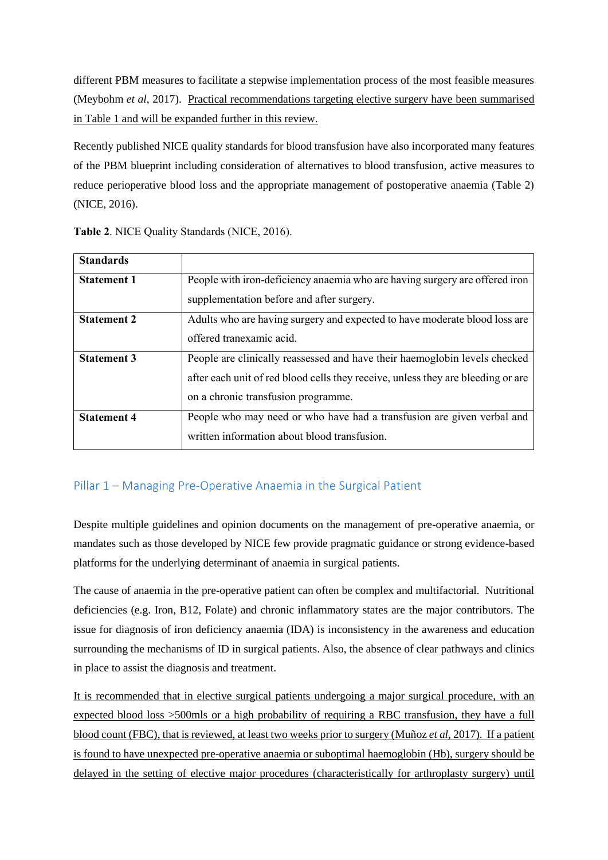different PBM measures to facilitate a stepwise implementation process of the most feasible measures (Meybohm *et al*, 2017). Practical recommendations targeting elective surgery have been summarised in Table 1 and will be expanded further in this review.

Recently published NICE quality standards for blood transfusion have also incorporated many features of the PBM blueprint including consideration of alternatives to blood transfusion, active measures to reduce perioperative blood loss and the appropriate management of postoperative anaemia (Table 2) (NICE, 2016).

| <b>Standards</b>   |                                                                                  |
|--------------------|----------------------------------------------------------------------------------|
| <b>Statement 1</b> | People with iron-deficiency anaemia who are having surgery are offered iron      |
|                    | supplementation before and after surgery.                                        |
| <b>Statement 2</b> | Adults who are having surgery and expected to have moderate blood loss are       |
|                    | offered tranexamic acid.                                                         |
| <b>Statement 3</b> | People are clinically reassessed and have their haemoglobin levels checked       |
|                    | after each unit of red blood cells they receive, unless they are bleeding or are |
|                    | on a chronic transfusion programme.                                              |
| <b>Statement 4</b> | People who may need or who have had a transfusion are given verbal and           |
|                    | written information about blood transfusion.                                     |

**Table 2**. NICE Quality Standards (NICE, 2016).

# Pillar 1 – Managing Pre-Operative Anaemia in the Surgical Patient

Despite multiple guidelines and opinion documents on the management of pre-operative anaemia, or mandates such as those developed by NICE few provide pragmatic guidance or strong evidence-based platforms for the underlying determinant of anaemia in surgical patients.

The cause of anaemia in the pre-operative patient can often be complex and multifactorial. Nutritional deficiencies (e.g. Iron, B12, Folate) and chronic inflammatory states are the major contributors. The issue for diagnosis of iron deficiency anaemia (IDA) is inconsistency in the awareness and education surrounding the mechanisms of ID in surgical patients. Also, the absence of clear pathways and clinics in place to assist the diagnosis and treatment.

It is recommended that in elective surgical patients undergoing a major surgical procedure, with an expected blood loss >500mls or a high probability of requiring a RBC transfusion, they have a full blood count (FBC), that is reviewed, at least two weeks prior to surgery (Muñoz *et al*, 2017). If a patient is found to have unexpected pre-operative anaemia or suboptimal haemoglobin (Hb), surgery should be delayed in the setting of elective major procedures (characteristically for arthroplasty surgery) until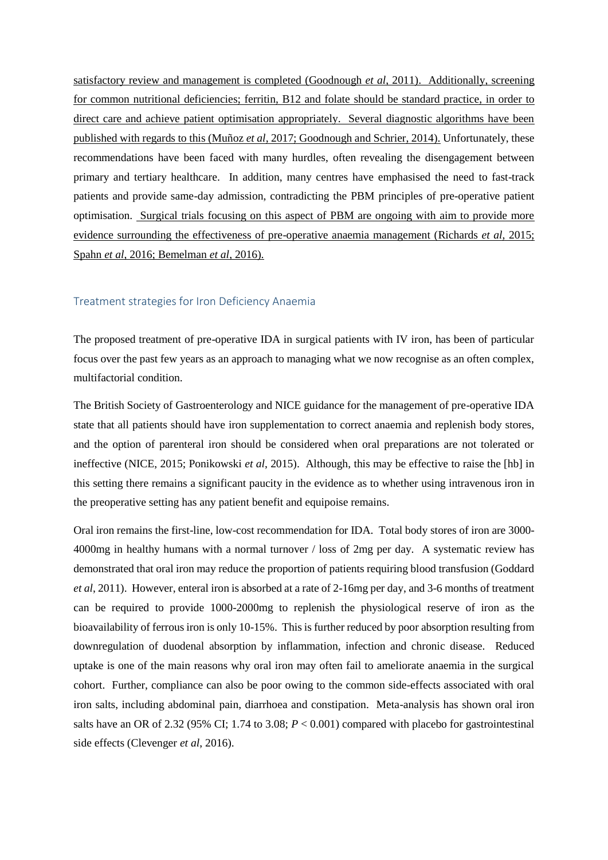satisfactory review and management is completed (Goodnough *et al*, 2011). Additionally, screening for common nutritional deficiencies; ferritin, B12 and folate should be standard practice, in order to direct care and achieve patient optimisation appropriately. Several diagnostic algorithms have been published with regards to this (Muñoz *et al*, 2017; Goodnough and Schrier, 2014). Unfortunately, these recommendations have been faced with many hurdles, often revealing the disengagement between primary and tertiary healthcare. In addition, many centres have emphasised the need to fast-track patients and provide same-day admission, contradicting the PBM principles of pre-operative patient optimisation. Surgical trials focusing on this aspect of PBM are ongoing with aim to provide more evidence surrounding the effectiveness of pre-operative anaemia management (Richards *et al*, 2015; Spahn *et al*, 2016; Bemelman *et al*, 2016).

#### Treatment strategies for Iron Deficiency Anaemia

The proposed treatment of pre-operative IDA in surgical patients with IV iron, has been of particular focus over the past few years as an approach to managing what we now recognise as an often complex, multifactorial condition.

The British Society of Gastroenterology and NICE guidance for the management of pre-operative IDA state that all patients should have iron supplementation to correct anaemia and replenish body stores, and the option of parenteral iron should be considered when oral preparations are not tolerated or ineffective (NICE, 2015; Ponikowski *et al*, 2015). Although, this may be effective to raise the [hb] in this setting there remains a significant paucity in the evidence as to whether using intravenous iron in the preoperative setting has any patient benefit and equipoise remains.

Oral iron remains the first-line, low-cost recommendation for IDA. Total body stores of iron are 3000- 4000mg in healthy humans with a normal turnover / loss of 2mg per day. A systematic review has demonstrated that oral iron may reduce the proportion of patients requiring blood transfusion (Goddard *et al*, 2011). However, enteral iron is absorbed at a rate of 2-16mg per day, and 3-6 months of treatment can be required to provide 1000-2000mg to replenish the physiological reserve of iron as the bioavailability of ferrous iron is only 10-15%. This is further reduced by poor absorption resulting from downregulation of duodenal absorption by inflammation, infection and chronic disease. Reduced uptake is one of the main reasons why oral iron may often fail to ameliorate anaemia in the surgical cohort. Further, compliance can also be poor owing to the common side-effects associated with oral iron salts, including abdominal pain, diarrhoea and constipation. Meta-analysis has shown oral iron salts have an OR of 2.32 (95% CI; 1.74 to 3.08; *P* < 0.001) compared with placebo for gastrointestinal side effects (Clevenger *et al*, 2016).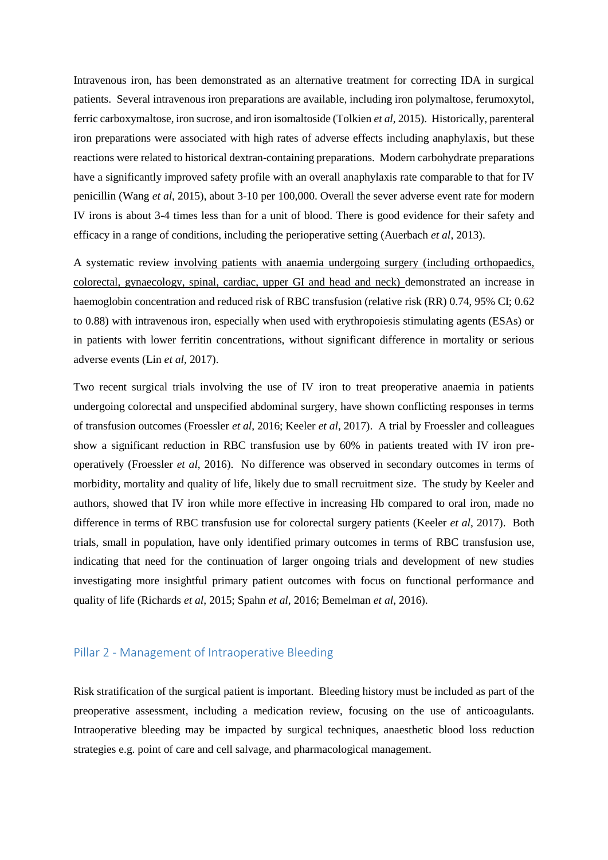Intravenous iron, has been demonstrated as an alternative treatment for correcting IDA in surgical patients. Several intravenous iron preparations are available, including iron polymaltose, ferumoxytol, ferric carboxymaltose, iron sucrose, and iron isomaltoside (Tolkien *et al*, 2015). Historically, parenteral iron preparations were associated with high rates of adverse effects including anaphylaxis, but these reactions were related to historical dextran-containing preparations. Modern carbohydrate preparations have a significantly improved safety profile with an overall anaphylaxis rate comparable to that for IV penicillin (Wang *et al*, 2015), about 3-10 per 100,000. Overall the sever adverse event rate for modern IV irons is about 3-4 times less than for a unit of blood. There is good evidence for their safety and efficacy in a range of conditions, including the perioperative setting (Auerbach *et al*, 2013).

A systematic review involving patients with anaemia undergoing surgery (including orthopaedics, colorectal, gynaecology, spinal, cardiac, upper GI and head and neck) demonstrated an increase in haemoglobin concentration and reduced risk of RBC transfusion (relative risk (RR) 0.74, 95% CI; 0.62 to 0.88) with intravenous iron, especially when used with erythropoiesis stimulating agents (ESAs) or in patients with lower ferritin concentrations, without significant difference in mortality or serious adverse events (Lin *et al*, 2017).

Two recent surgical trials involving the use of IV iron to treat preoperative anaemia in patients undergoing colorectal and unspecified abdominal surgery, have shown conflicting responses in terms of transfusion outcomes (Froessler *et al*, 2016; Keeler *et al*, 2017). A trial by Froessler and colleagues show a significant reduction in RBC transfusion use by 60% in patients treated with IV iron preoperatively (Froessler *et al*, 2016). No difference was observed in secondary outcomes in terms of morbidity, mortality and quality of life, likely due to small recruitment size. The study by Keeler and authors, showed that IV iron while more effective in increasing Hb compared to oral iron, made no difference in terms of RBC transfusion use for colorectal surgery patients (Keeler *et al*, 2017). Both trials, small in population, have only identified primary outcomes in terms of RBC transfusion use, indicating that need for the continuation of larger ongoing trials and development of new studies investigating more insightful primary patient outcomes with focus on functional performance and quality of life (Richards *et al*, 2015; Spahn *et al*, 2016; Bemelman *et al*, 2016).

#### Pillar 2 - Management of Intraoperative Bleeding

Risk stratification of the surgical patient is important. Bleeding history must be included as part of the preoperative assessment, including a medication review, focusing on the use of anticoagulants. Intraoperative bleeding may be impacted by surgical techniques, anaesthetic blood loss reduction strategies e.g. point of care and cell salvage, and pharmacological management.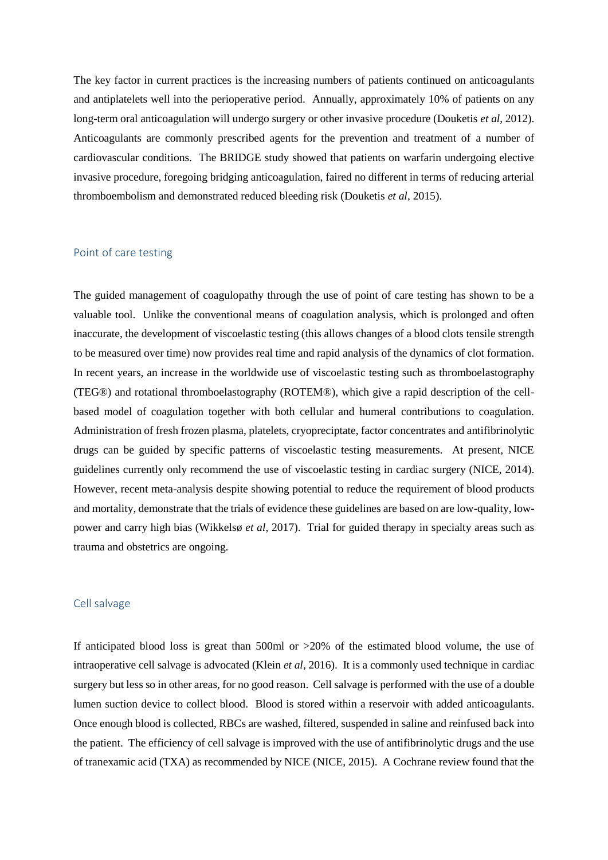The key factor in current practices is the increasing numbers of patients continued on anticoagulants and antiplatelets well into the perioperative period. Annually, approximately 10% of patients on any long-term oral anticoagulation will undergo surgery or other invasive procedure (Douketis *et al*, 2012). Anticoagulants are commonly prescribed agents for the prevention and treatment of a number of cardiovascular conditions. The BRIDGE study showed that patients on warfarin undergoing elective invasive procedure, foregoing bridging anticoagulation, faired no different in terms of reducing arterial thromboembolism and demonstrated reduced bleeding risk (Douketis *et al*, 2015).

#### Point of care testing

The guided management of coagulopathy through the use of point of care testing has shown to be a valuable tool. Unlike the conventional means of coagulation analysis, which is prolonged and often inaccurate, the development of viscoelastic testing (this allows changes of a blood clots tensile strength to be measured over time) now provides real time and rapid analysis of the dynamics of clot formation. In recent years, an increase in the worldwide use of viscoelastic testing such as thromboelastography (TEG®) and rotational thromboelastography (ROTEM®), which give a rapid description of the cellbased model of coagulation together with both cellular and humeral contributions to coagulation. Administration of fresh frozen plasma, platelets, cryopreciptate, factor concentrates and antifibrinolytic drugs can be guided by specific patterns of viscoelastic testing measurements. At present, NICE guidelines currently only recommend the use of viscoelastic testing in cardiac surgery (NICE, 2014). However, recent meta-analysis despite showing potential to reduce the requirement of blood products and mortality, demonstrate that the trials of evidence these guidelines are based on are low-quality, lowpower and carry high bias (Wikkelsø *et al*, 2017). Trial for guided therapy in specialty areas such as trauma and obstetrics are ongoing.

#### Cell salvage

If anticipated blood loss is great than 500ml or >20% of the estimated blood volume, the use of intraoperative cell salvage is advocated (Klein *et al*, 2016). It is a commonly used technique in cardiac surgery but less so in other areas, for no good reason. Cell salvage is performed with the use of a double lumen suction device to collect blood. Blood is stored within a reservoir with added anticoagulants. Once enough blood is collected, RBCs are washed, filtered, suspended in saline and reinfused back into the patient. The efficiency of cell salvage is improved with the use of antifibrinolytic drugs and the use of tranexamic acid (TXA) as recommended by NICE (NICE, 2015). A Cochrane review found that the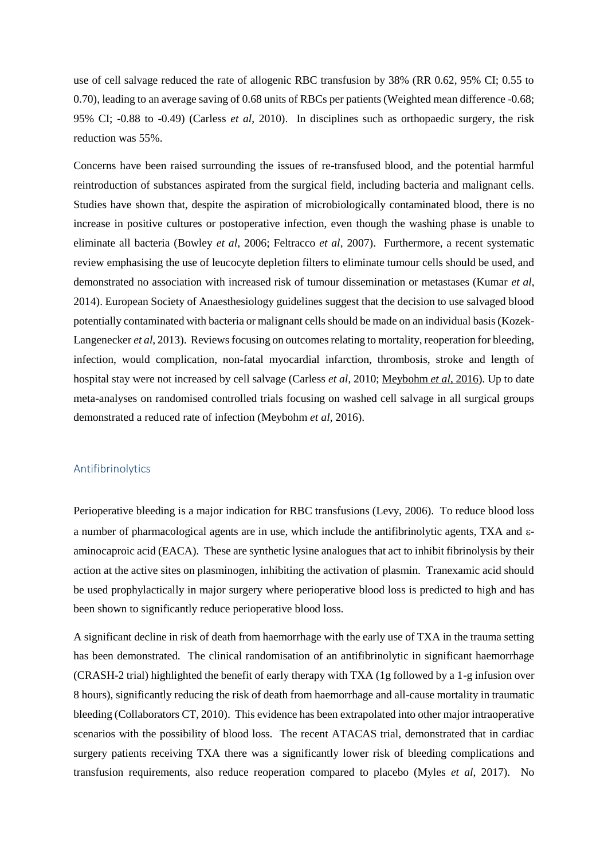use of cell salvage reduced the rate of allogenic RBC transfusion by 38% (RR 0.62, 95% CI; 0.55 to 0.70), leading to an average saving of 0.68 units of RBCs per patients (Weighted mean difference -0.68; 95% CI; -0.88 to -0.49) (Carless *et al*, 2010). In disciplines such as orthopaedic surgery, the risk reduction was 55%.

Concerns have been raised surrounding the issues of re-transfused blood, and the potential harmful reintroduction of substances aspirated from the surgical field, including bacteria and malignant cells. Studies have shown that, despite the aspiration of microbiologically contaminated blood, there is no increase in positive cultures or postoperative infection, even though the washing phase is unable to eliminate all bacteria (Bowley *et al*, 2006; Feltracco *et al*, 2007). Furthermore, a recent systematic review emphasising the use of leucocyte depletion filters to eliminate tumour cells should be used, and demonstrated no association with increased risk of tumour dissemination or metastases (Kumar *et al*, 2014). European Society of Anaesthesiology guidelines suggest that the decision to use salvaged blood potentially contaminated with bacteria or malignant cells should be made on an individual basis(Kozek-Langenecker *et al*, 2013). Reviews focusing on outcomes relating to mortality, reoperation for bleeding, infection, would complication, non-fatal myocardial infarction, thrombosis, stroke and length of hospital stay were not increased by cell salvage (Carless *et al*, 2010; Meybohm *et al*, 2016). Up to date meta-analyses on randomised controlled trials focusing on washed cell salvage in all surgical groups demonstrated a reduced rate of infection (Meybohm *et al*, 2016).

#### Antifibrinolytics

Perioperative bleeding is a major indication for RBC transfusions (Levy, 2006). To reduce blood loss a number of pharmacological agents are in use, which include the antifibrinolytic agents, TXA and  $\varepsilon$ aminocaproic acid (EACA). These are synthetic lysine analogues that act to inhibit fibrinolysis by their action at the active sites on plasminogen, inhibiting the activation of plasmin. Tranexamic acid should be used prophylactically in major surgery where perioperative blood loss is predicted to high and has been shown to significantly reduce perioperative blood loss.

A significant decline in risk of death from haemorrhage with the early use of TXA in the trauma setting has been demonstrated. The clinical randomisation of an antifibrinolytic in significant haemorrhage (CRASH-2 trial) highlighted the benefit of early therapy with TXA (1g followed by a 1-g infusion over 8 hours), significantly reducing the risk of death from haemorrhage and all-cause mortality in traumatic bleeding (Collaborators CT, 2010). This evidence has been extrapolated into other major intraoperative scenarios with the possibility of blood loss. The recent ATACAS trial, demonstrated that in cardiac surgery patients receiving TXA there was a significantly lower risk of bleeding complications and transfusion requirements, also reduce reoperation compared to placebo (Myles *et al*, 2017). No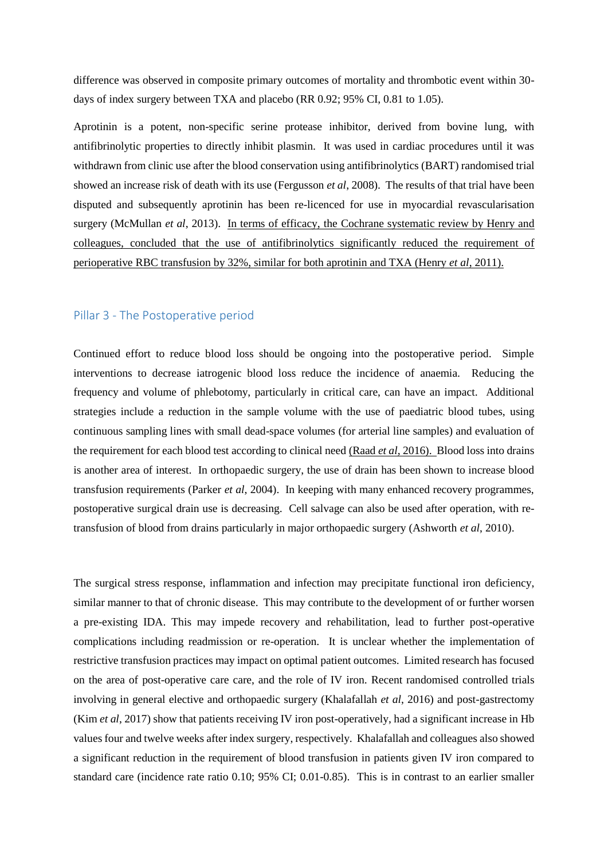difference was observed in composite primary outcomes of mortality and thrombotic event within 30 days of index surgery between TXA and placebo (RR 0.92; 95% CI, 0.81 to 1.05).

Aprotinin is a potent, non-specific serine protease inhibitor, derived from bovine lung, with antifibrinolytic properties to directly inhibit plasmin. It was used in cardiac procedures until it was withdrawn from clinic use after the blood conservation using antifibrinolytics (BART) randomised trial showed an increase risk of death with its use (Fergusson *et al*, 2008). The results of that trial have been disputed and subsequently aprotinin has been re-licenced for use in myocardial revascularisation surgery (McMullan *et al*, 2013). In terms of efficacy, the Cochrane systematic review by Henry and colleagues, concluded that the use of antifibrinolytics significantly reduced the requirement of perioperative RBC transfusion by 32%, similar for both aprotinin and TXA (Henry *et al*, 2011).

#### Pillar 3 - The Postoperative period

Continued effort to reduce blood loss should be ongoing into the postoperative period. Simple interventions to decrease iatrogenic blood loss reduce the incidence of anaemia. Reducing the frequency and volume of phlebotomy, particularly in critical care, can have an impact. Additional strategies include a reduction in the sample volume with the use of paediatric blood tubes, using continuous sampling lines with small dead-space volumes (for arterial line samples) and evaluation of the requirement for each blood test according to clinical need (Raad *et al*, 2016). Blood loss into drains is another area of interest. In orthopaedic surgery, the use of drain has been shown to increase blood transfusion requirements (Parker *et al*, 2004). In keeping with many enhanced recovery programmes, postoperative surgical drain use is decreasing. Cell salvage can also be used after operation, with retransfusion of blood from drains particularly in major orthopaedic surgery (Ashworth *et al*, 2010).

The surgical stress response, inflammation and infection may precipitate functional iron deficiency, similar manner to that of chronic disease. This may contribute to the development of or further worsen a pre-existing IDA. This may impede recovery and rehabilitation, lead to further post-operative complications including readmission or re-operation. It is unclear whether the implementation of restrictive transfusion practices may impact on optimal patient outcomes. Limited research has focused on the area of post-operative care care, and the role of IV iron. Recent randomised controlled trials involving in general elective and orthopaedic surgery (Khalafallah *et al*, 2016) and post-gastrectomy (Kim *et al*, 2017) show that patients receiving IV iron post-operatively, had a significant increase in Hb values four and twelve weeks after index surgery, respectively. Khalafallah and colleagues also showed a significant reduction in the requirement of blood transfusion in patients given IV iron compared to standard care (incidence rate ratio 0.10; 95% CI; 0.01-0.85). This is in contrast to an earlier smaller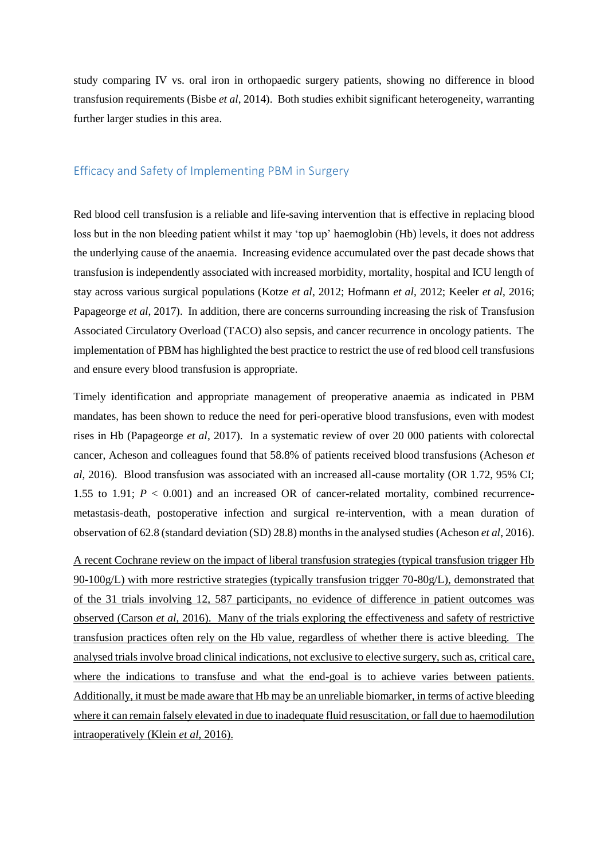study comparing IV vs. oral iron in orthopaedic surgery patients, showing no difference in blood transfusion requirements (Bisbe *et al*, 2014). Both studies exhibit significant heterogeneity, warranting further larger studies in this area.

#### Efficacy and Safety of Implementing PBM in Surgery

Red blood cell transfusion is a reliable and life-saving intervention that is effective in replacing blood loss but in the non bleeding patient whilst it may 'top up' haemoglobin (Hb) levels, it does not address the underlying cause of the anaemia. Increasing evidence accumulated over the past decade shows that transfusion is independently associated with increased morbidity, mortality, hospital and ICU length of stay across various surgical populations (Kotze *et al*, 2012; Hofmann *et al*, 2012; Keeler *et al*, 2016; Papageorge *et al*, 2017). In addition, there are concerns surrounding increasing the risk of Transfusion Associated Circulatory Overload (TACO) also sepsis, and cancer recurrence in oncology patients. The implementation of PBM has highlighted the best practice to restrict the use of red blood cell transfusions and ensure every blood transfusion is appropriate.

Timely identification and appropriate management of preoperative anaemia as indicated in PBM mandates, has been shown to reduce the need for peri-operative blood transfusions, even with modest rises in Hb (Papageorge *et al*, 2017). In a systematic review of over 20 000 patients with colorectal cancer, Acheson and colleagues found that 58.8% of patients received blood transfusions (Acheson *et al*, 2016). Blood transfusion was associated with an increased all-cause mortality (OR 1.72, 95% CI; 1.55 to 1.91; *P* < 0.001) and an increased OR of cancer-related mortality, combined recurrencemetastasis-death, postoperative infection and surgical re-intervention, with a mean duration of observation of 62.8 (standard deviation (SD) 28.8) months in the analysed studies (Acheson *et al*, 2016).

A recent Cochrane review on the impact of liberal transfusion strategies (typical transfusion trigger Hb 90-100g/L) with more restrictive strategies (typically transfusion trigger 70-80g/L), demonstrated that of the 31 trials involving 12, 587 participants, no evidence of difference in patient outcomes was observed (Carson *et al*, 2016). Many of the trials exploring the effectiveness and safety of restrictive transfusion practices often rely on the Hb value, regardless of whether there is active bleeding. The analysed trials involve broad clinical indications, not exclusive to elective surgery, such as, critical care, where the indications to transfuse and what the end-goal is to achieve varies between patients. Additionally, it must be made aware that Hb may be an unreliable biomarker, in terms of active bleeding where it can remain falsely elevated in due to inadequate fluid resuscitation, or fall due to haemodilution intraoperatively (Klein *et al*, 2016).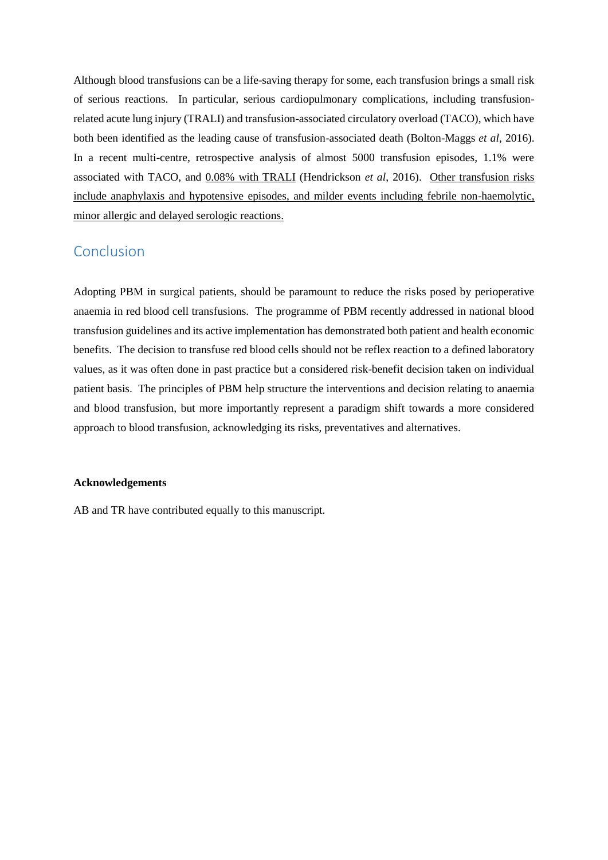Although blood transfusions can be a life-saving therapy for some, each transfusion brings a small risk of serious reactions. In particular, serious cardiopulmonary complications, including transfusionrelated acute lung injury (TRALI) and transfusion-associated circulatory overload (TACO), which have both been identified as the leading cause of transfusion-associated death (Bolton-Maggs *et al*, 2016). In a recent multi-centre, retrospective analysis of almost 5000 transfusion episodes, 1.1% were associated with TACO, and 0.08% with TRALI (Hendrickson *et al*, 2016). Other transfusion risks include anaphylaxis and hypotensive episodes, and milder events including febrile non-haemolytic, minor allergic and delayed serologic reactions.

# Conclusion

Adopting PBM in surgical patients, should be paramount to reduce the risks posed by perioperative anaemia in red blood cell transfusions. The programme of PBM recently addressed in national blood transfusion guidelines and its active implementation has demonstrated both patient and health economic benefits. The decision to transfuse red blood cells should not be reflex reaction to a defined laboratory values, as it was often done in past practice but a considered risk-benefit decision taken on individual patient basis. The principles of PBM help structure the interventions and decision relating to anaemia and blood transfusion, but more importantly represent a paradigm shift towards a more considered approach to blood transfusion, acknowledging its risks, preventatives and alternatives.

#### **Acknowledgements**

AB and TR have contributed equally to this manuscript.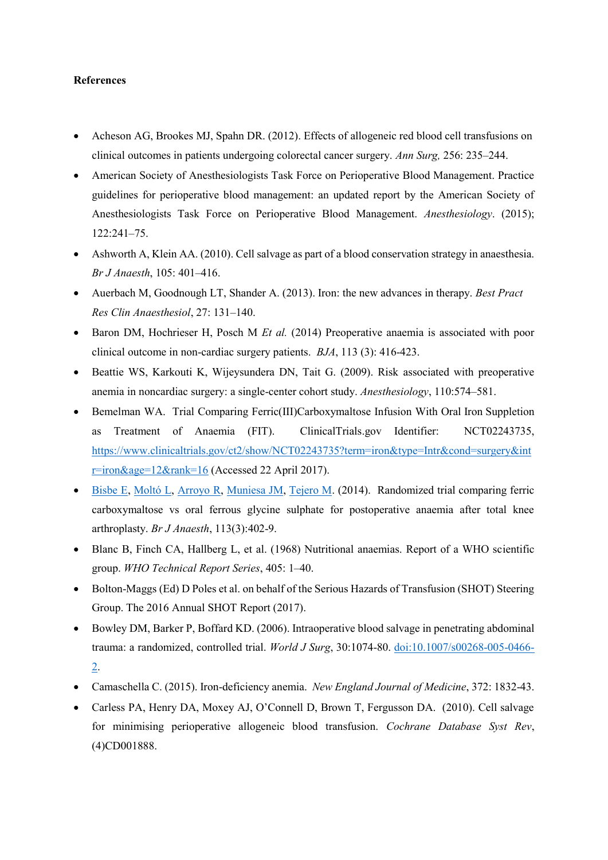#### **References**

- Acheson AG, Brookes MJ, Spahn DR. (2012). Effects of allogeneic red blood cell transfusions on clinical outcomes in patients undergoing colorectal cancer surgery. *Ann Surg,* 256: 235–244.
- American Society of Anesthesiologists Task Force on Perioperative Blood Management. Practice guidelines for perioperative blood management: an updated report by the American Society of Anesthesiologists Task Force on Perioperative Blood Management. *Anesthesiology*. (2015); 122:241–75.
- Ashworth A, Klein AA. (2010). Cell salvage as part of a blood conservation strategy in anaesthesia. *Br J Anaesth*, 105: 401–416.
- Auerbach M, Goodnough LT, Shander A. (2013). Iron: the new advances in therapy. *Best Pract Res Clin Anaesthesiol*, 27: 131–140.
- Baron DM, Hochrieser H, Posch M *Et al.* (2014) Preoperative anaemia is associated with poor clinical outcome in non-cardiac surgery patients. *BJA*, 113 (3): 416-423.
- Beattie WS, Karkouti K, Wijeysundera DN, Tait G. (2009). Risk associated with preoperative anemia in noncardiac surgery: a single-center cohort study. *Anesthesiology*, 110:574–581.
- Bemelman WA. Trial Comparing Ferric(III)Carboxymaltose Infusion With Oral Iron Suppletion as Treatment of Anaemia (FIT). ClinicalTrials.gov Identifier: NCT02243735, [https://www.clinicaltrials.gov/ct2/show/NCT02243735?term=iron&type=Intr&cond=surgery&int](https://www.clinicaltrials.gov/ct2/show/NCT02243735?term=iron&type=Intr&cond=surgery&intr=iron&age=12&rank=16) [r=iron&age=12&rank=16](https://www.clinicaltrials.gov/ct2/show/NCT02243735?term=iron&type=Intr&cond=surgery&intr=iron&age=12&rank=16) (Accessed 22 April 2017).
- [Bisbe E,](http://www.ncbi.nlm.nih.gov/pubmed/?term=Bisbe%20E%5BAuthor%5D&cauthor=true&cauthor_uid=24780615) [Moltó L,](http://www.ncbi.nlm.nih.gov/pubmed/?term=Molt%C3%B3%20L%5BAuthor%5D&cauthor=true&cauthor_uid=24780615) [Arroyo R,](http://www.ncbi.nlm.nih.gov/pubmed/?term=Arroyo%20R%5BAuthor%5D&cauthor=true&cauthor_uid=24780615) [Muniesa JM,](http://www.ncbi.nlm.nih.gov/pubmed/?term=Muniesa%20JM%5BAuthor%5D&cauthor=true&cauthor_uid=24780615) [Tejero M.](http://www.ncbi.nlm.nih.gov/pubmed/?term=Tejero%20M%5BAuthor%5D&cauthor=true&cauthor_uid=24780615) (2014). Randomized trial comparing ferric carboxymaltose vs oral ferrous glycine sulphate for postoperative anaemia after total knee arthroplasty. *Br J Anaesth*, 113(3):402-9.
- Blanc B, Finch CA, Hallberg L, et al. (1968) Nutritional anaemias. Report of a WHO scientific group. *WHO Technical Report Series*, 405: 1–40.
- Bolton-Maggs (Ed) D Poles et al. on behalf of the Serious Hazards of Transfusion (SHOT) Steering Group. The 2016 Annual SHOT Report (2017).
- Bowley DM, Barker P, Boffard KD. (2006). Intraoperative blood salvage in penetrating abdominal trauma: a randomized, controlled trial. *World J Surg*, 30:1074-80. [doi:10.1007/s00268-005-0466-](http://dx.doi.org/doi:10.1007/s00268-005-0466-2) [2.](http://dx.doi.org/doi:10.1007/s00268-005-0466-2)
- Camaschella C. (2015). Iron-deficiency anemia. *New England Journal of Medicine*, 372: 1832-43.
- Carless PA, Henry DA, Moxey AJ, O'Connell D, Brown T, Fergusson DA. (2010). Cell salvage for minimising perioperative allogeneic blood transfusion. *Cochrane Database Syst Rev*, (4)CD001888.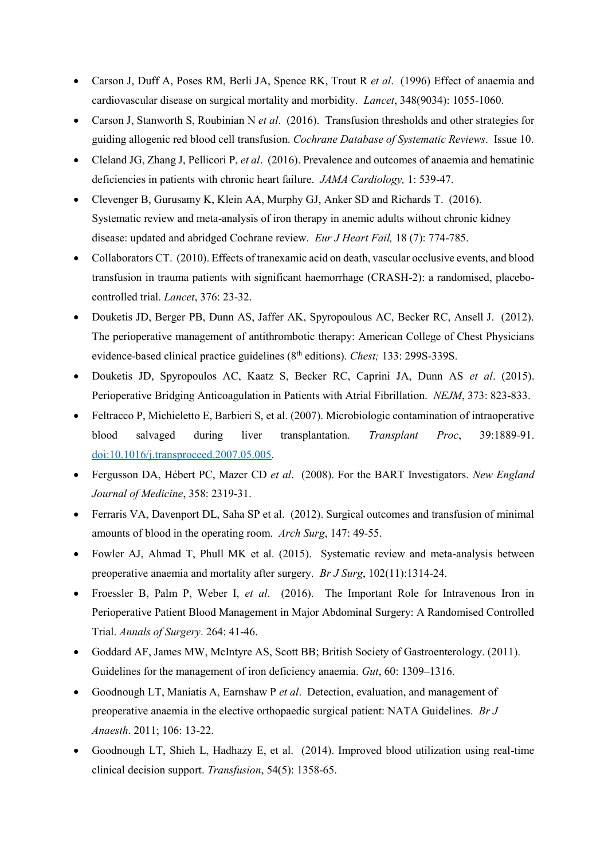- Carson J, Duff A, Poses RM, Berli JA, Spence RK, Trout R *et al*. (1996) Effect of anaemia and cardiovascular disease on surgical mortality and morbidity. *Lancet*, 348(9034): 1055-1060.
- Carson J, Stanworth S, Roubinian N *et al*. (2016). Transfusion thresholds and other strategies for guiding allogenic red blood cell transfusion. *Cochrane Database of Systematic Reviews*. Issue 10.
- Cleland JG, Zhang J, Pellicori P, *et al*. (2016). Prevalence and outcomes of anaemia and hematinic deficiencies in patients with chronic heart failure. *JAMA Cardiology,* 1: 539-47.
- Clevenger B, Gurusamy K, Klein AA, Murphy GJ, Anker SD and Richards T. (2016). Systematic review and meta-analysis of iron therapy in anemic adults without chronic kidney disease: updated and abridged Cochrane review. *Eur J Heart Fail,* 18 (7): 774-785.
- Collaborators CT. (2010). Effects of tranexamic acid on death, vascular occlusive events, and blood transfusion in trauma patients with significant haemorrhage (CRASH-2): a randomised, placebocontrolled trial. *Lancet*, 376: 23-32.
- Douketis JD, Berger PB, Dunn AS, Jaffer AK, Spyropoulous AC, Becker RC, Ansell J. (2012). The perioperative management of antithrombotic therapy: American College of Chest Physicians evidence-based clinical practice guidelines (8th editions). *Chest;* 133: 299S-339S.
- Douketis JD, Spyropoulos AC, Kaatz S, Becker RC, Caprini JA, Dunn AS *et al*. (2015). Perioperative Bridging Anticoagulation in Patients with Atrial Fibrillation. *NEJM*, 373: 823-833.
- Feltracco P, Michieletto E, Barbieri S, et al. (2007). Microbiologic contamination of intraoperative blood salvaged during liver transplantation. *Transplant Proc*, 39:1889-91. [doi:10.1016/j.transproceed.2007.05.005.](http://dx.doi.org/doi:10.1016/j.transproceed.2007.05.005)
- Fergusson DA, Hébert PC, Mazer CD *et al*. (2008). For the BART Investigators. *New England Journal of Medicine*, 358: 2319-31.
- Ferraris VA, Davenport DL, Saha SP et al. (2012). Surgical outcomes and transfusion of minimal amounts of blood in the operating room. *Arch Surg*, 147: 49-55.
- Fowler AJ, Ahmad T, Phull MK et al. (2015). Systematic review and meta-analysis between preoperative anaemia and mortality after surgery. *Br J Surg*, 102(11):1314-24.
- Froessler B, Palm P, Weber I, *et al*. (2016). The Important Role for Intravenous Iron in Perioperative Patient Blood Management in Major Abdominal Surgery: A Randomised Controlled Trial. *Annals of Surgery*. 264: 41-46.
- Goddard AF, James MW, McIntyre AS, Scott BB; British Society of Gastroenterology. (2011). Guidelines for the management of iron deficiency anaemia. *Gut*, 60: 1309–1316.
- Goodnough LT, Maniatis A, Earnshaw P *et al*. Detection, evaluation, and management of preoperative anaemia in the elective orthopaedic surgical patient: NATA Guidelines. *Br J Anaesth*. 2011; 106: 13-22.
- Goodnough LT, Shieh L, Hadhazy E, et al. (2014). Improved blood utilization using real-time clinical decision support. *Transfusion*, 54(5): 1358-65.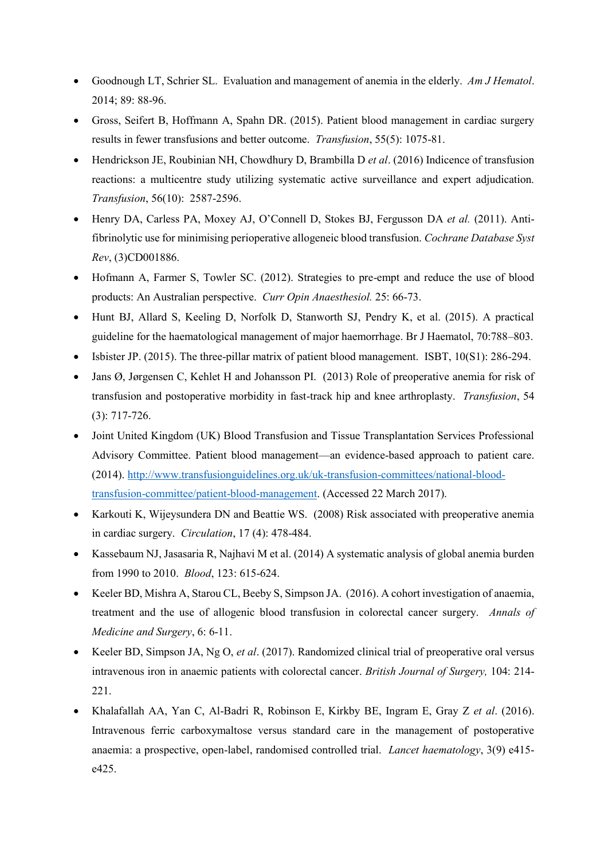- Goodnough LT, Schrier SL. Evaluation and management of anemia in the elderly. *Am J Hematol*. 2014; 89: 88-96.
- Gross, Seifert B, Hoffmann A, Spahn DR. (2015). Patient blood management in cardiac surgery results in fewer transfusions and better outcome. *Transfusion*, 55(5): 1075-81.
- Hendrickson JE, Roubinian NH, Chowdhury D, Brambilla D *et al*. (2016) Indicence of transfusion reactions: a multicentre study utilizing systematic active surveillance and expert adjudication. *Transfusion*, 56(10): 2587-2596.
- Henry DA, Carless PA, Moxey AJ, O'Connell D, Stokes BJ, Fergusson DA *et al.* (2011). Antifibrinolytic use for minimising perioperative allogeneic blood transfusion. *Cochrane Database Syst Rev*, (3)CD001886.
- Hofmann A, Farmer S, Towler SC. (2012). Strategies to pre-empt and reduce the use of blood products: An Australian perspective. *Curr Opin Anaesthesiol.* 25: 66-73.
- Hunt BJ, Allard S, Keeling D, Norfolk D, Stanworth SJ, Pendry K, et al. (2015). A practical guideline for the haematological management of major haemorrhage. Br J Haematol, 70:788–803.
- Isbister JP. (2015). The three-pillar matrix of patient blood management. ISBT, 10(S1): 286-294.
- Jans Ø, Jørgensen C, Kehlet H and Johansson PI. (2013) Role of preoperative anemia for risk of transfusion and postoperative morbidity in fast-track hip and knee arthroplasty. *Transfusion*, 54 (3): 717-726.
- Joint United Kingdom (UK) Blood Transfusion and Tissue Transplantation Services Professional Advisory Committee. Patient blood management—an evidence-based approach to patient care. (2014). [http://www.transfusionguidelines.org.uk/uk-transfusion-committees/national-blood](http://www.transfusionguidelines.org.uk/uk-transfusion-committees/national-blood-transfusion-committee/patient-blood-management)[transfusion-committee/patient-blood-management.](http://www.transfusionguidelines.org.uk/uk-transfusion-committees/national-blood-transfusion-committee/patient-blood-management) (Accessed 22 March 2017).
- Karkouti K, Wijeysundera DN and Beattie WS. (2008) Risk associated with preoperative anemia in cardiac surgery. *Circulation*, 17 (4): 478-484.
- Kassebaum NJ, Jasasaria R, Najhavi M et al. (2014) A systematic analysis of global anemia burden from 1990 to 2010. *Blood*, 123: 615-624.
- Keeler BD, Mishra A, Starou CL, Beeby S, Simpson JA. (2016). A cohort investigation of anaemia, treatment and the use of allogenic blood transfusion in colorectal cancer surgery. *Annals of Medicine and Surgery*, 6: 6-11.
- Keeler BD, Simpson JA, Ng O, *et al*. (2017). Randomized clinical trial of preoperative oral versus intravenous iron in anaemic patients with colorectal cancer. *British Journal of Surgery,* 104: 214- 221.
- Khalafallah AA, Yan C, Al-Badri R, Robinson E, Kirkby BE, Ingram E, Gray Z *et al*. (2016). Intravenous ferric carboxymaltose versus standard care in the management of postoperative anaemia: a prospective, open-label, randomised controlled trial. *Lancet haematology*, 3(9) e415 e425.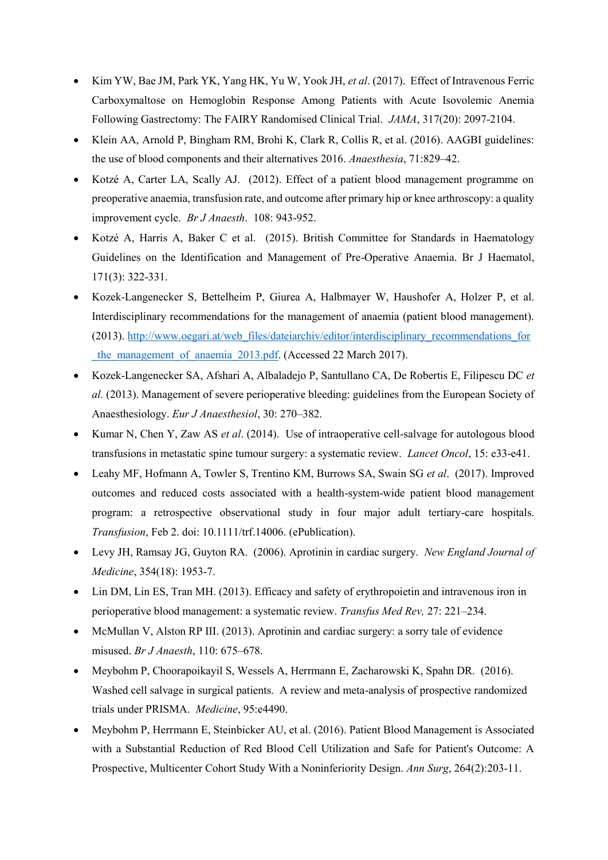- Kim YW, Bae JM, Park YK, Yang HK, Yu W, Yook JH, *et al*. (2017). Effect of Intravenous Ferric Carboxymaltose on Hemoglobin Response Among Patients with Acute Isovolemic Anemia Following Gastrectomy: The FAIRY Randomised Clinical Trial. *JAMA*, 317(20): 2097-2104.
- Klein AA, Arnold P, Bingham RM, Brohi K, Clark R, Collis R, et al. (2016). AAGBI guidelines: the use of blood components and their alternatives 2016. *Anaesthesia*, 71:829–42.
- Kotzé A, Carter LA, Scally AJ. (2012). Effect of a patient blood management programme on preoperative anaemia, transfusion rate, and outcome after primary hip or knee arthroscopy: a quality improvement cycle. *Br J Anaesth*. 108: 943-952.
- Kotzé A, Harris A, Baker C et al. (2015). British Committee for Standards in Haematology Guidelines on the Identification and Management of Pre-Operative Anaemia. Br J Haematol, 171(3): 322-331.
- Kozek-Langenecker S, Bettelheim P, Giurea A, Halbmayer W, Haushofer A, Holzer P, et al. Interdisciplinary recommendations for the management of anaemia (patient blood management). (2013). [http://www.oegari.at/web\\_files/dateiarchiv/editor/interdisciplinary\\_recommendations\\_for](http://www.oegari.at/web_files/dateiarchiv/editor/interdisciplinary_recommendations_for_the_management_of_anaemia_2013.pdf) the management of anaemia 2013.pdf. (Accessed 22 March 2017).
- Kozek-Langenecker SA, Afshari A, Albaladejo P, Santullano CA, De Robertis E, Filipescu DC *et al.* (2013). Management of severe perioperative bleeding: guidelines from the European Society of Anaesthesiology. *Eur J Anaesthesiol*, 30: 270–382.
- Kumar N, Chen Y, Zaw AS *et al*. (2014). Use of intraoperative cell-salvage for autologous blood transfusions in metastatic spine tumour surgery: a systematic review. *Lancet Oncol*, 15: e33-e41.
- Leahy MF, Hofmann A, Towler S, Trentino KM, Burrows SA, Swain SG *et al*. (2017). Improved outcomes and reduced costs associated with a health-system-wide patient blood management program: a retrospective observational study in four major adult tertiary-care hospitals. *Transfusion*, Feb 2. doi: 10.1111/trf.14006. (ePublication).
- Levy JH, Ramsay JG, Guyton RA. (2006). Aprotinin in cardiac surgery. *New England Journal of Medicine*, 354(18): 1953-7.
- Lin DM, Lin ES, Tran MH. (2013). Efficacy and safety of erythropoietin and intravenous iron in perioperative blood management: a systematic review. *Transfus Med Rev,* 27: 221–234.
- McMullan V, Alston RP III. (2013). Aprotinin and cardiac surgery: a sorry tale of evidence misused. *Br J Anaesth*, 110: 675–678.
- Meybohm P, Choorapoikayil S, Wessels A, Herrmann E, Zacharowski K, Spahn DR. (2016). Washed cell salvage in surgical patients. A review and meta-analysis of prospective randomized trials under PRISMA. *Medicine*, 95:e4490.
- Meybohm P, Herrmann E, Steinbicker AU, et al. (2016). Patient Blood Management is Associated with a Substantial Reduction of Red Blood Cell Utilization and Safe for Patient's Outcome: A Prospective, Multicenter Cohort Study With a Noninferiority Design. *Ann Surg*, 264(2):203-11.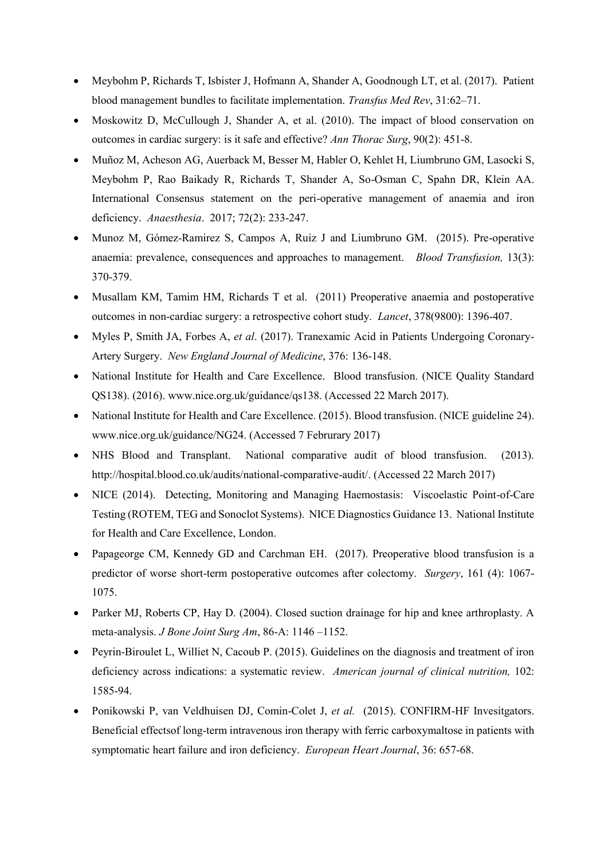- Meybohm P, Richards T, Isbister J, Hofmann A, Shander A, Goodnough LT, et al. (2017). Patient blood management bundles to facilitate implementation. *Transfus Med Rev*, 31:62–71.
- Moskowitz D, McCullough J, Shander A, et al. (2010). The impact of blood conservation on outcomes in cardiac surgery: is it safe and effective? *Ann Thorac Surg*, 90(2): 451-8.
- Muñoz M, Acheson AG, Auerback M, Besser M, Habler O, Kehlet H, Liumbruno GM, Lasocki S, Meybohm P, Rao Baikady R, Richards T, Shander A, So-Osman C, Spahn DR, Klein AA. International Consensus statement on the peri-operative management of anaemia and iron deficiency. *Anaesthesia*. 2017; 72(2): 233-247.
- Munoz M, Gómez-Ramirez S, Campos A, Ruiz J and Liumbruno GM. (2015). Pre-operative anaemia: prevalence, consequences and approaches to management. *Blood Transfusion,* 13(3): 370-379.
- Musallam KM, Tamim HM, Richards T et al. (2011) Preoperative anaemia and postoperative outcomes in non-cardiac surgery: a retrospective cohort study. *Lancet*, 378(9800): 1396-407.
- Myles P, Smith JA, Forbes A, *et al*. (2017). Tranexamic Acid in Patients Undergoing Coronary-Artery Surgery. *New England Journal of Medicine*, 376: 136-148.
- National Institute for Health and Care Excellence. Blood transfusion. (NICE Quality Standard QS138). (2016). www.nice.org.uk/guidance/qs138. (Accessed 22 March 2017).
- National Institute for Health and Care Excellence. (2015). Blood transfusion. (NICE guideline 24). www.nice.org.uk/guidance/NG24. (Accessed 7 Februrary 2017)
- NHS Blood and Transplant. National comparative audit of blood transfusion. (2013). http://hospital.blood.co.uk/audits/national-comparative-audit/. (Accessed 22 March 2017)
- NICE (2014). Detecting, Monitoring and Managing Haemostasis: Viscoelastic Point-of-Care Testing (ROTEM, TEG and Sonoclot Systems). NICE Diagnostics Guidance 13. National Institute for Health and Care Excellence, London.
- Papageorge CM, Kennedy GD and Carchman EH. (2017). Preoperative blood transfusion is a predictor of worse short-term postoperative outcomes after colectomy. *Surgery*, 161 (4): 1067- 1075.
- Parker MJ, Roberts CP, Hay D. (2004). Closed suction drainage for hip and knee arthroplasty. A meta-analysis. *J Bone Joint Surg Am*, 86-A: 1146 –1152.
- Peyrin-Biroulet L, Williet N, Cacoub P. (2015). Guidelines on the diagnosis and treatment of iron deficiency across indications: a systematic review. *American journal of clinical nutrition,* 102: 1585-94.
- Ponikowski P, van Veldhuisen DJ, Comin-Colet J, *et al.* (2015). CONFIRM-HF Invesitgators. Beneficial effectsof long-term intravenous iron therapy with ferric carboxymaltose in patients with symptomatic heart failure and iron deficiency. *European Heart Journal*, 36: 657-68.